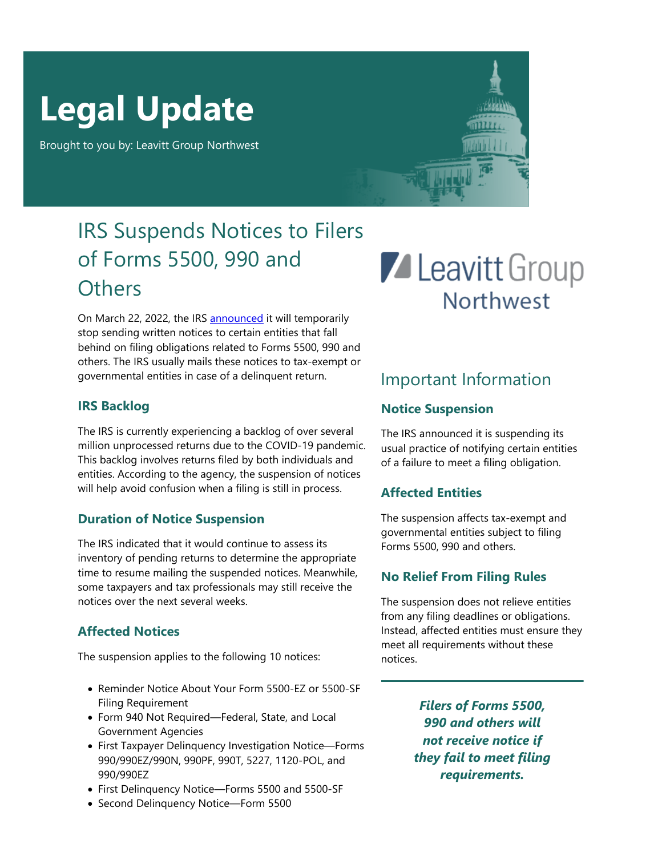# **Legal Update**

Brought to you by: Leavitt Group Northwest

### IRS Suspends Notices to Filers of Forms 5500, 990 and **Others**

On March 22, 2022, the IRS [announced](https://www.irs.gov/retirement-plans/employee-plans-news) it will temporarily stop sending written notices to certain entities that fall behind on filing obligations related to Forms 5500, 990 and others. The IRS usually mails these notices to tax-exempt or governmental entities in case of a delinquent return.

### **IRS Backlog**

The IRS is currently experiencing a backlog of over several million unprocessed returns due to the COVID-19 pandemic. This backlog involves returns filed by both individuals and entities. According to the agency, the suspension of notices will help avoid confusion when a filing is still in process.

### **Duration of Notice Suspension**

The IRS indicated that it would continue to assess its inventory of pending returns to determine the appropriate time to resume mailing the suspended notices. Meanwhile, some taxpayers and tax professionals may still receive the notices over the next several weeks.

### **Affected Notices**

The suspension applies to the following 10 notices:

- Reminder Notice About Your Form 5500-EZ or 5500-SF Filing Requirement
- Form 940 Not Required—Federal, State, and Local Government Agencies
- First Taxpayer Delinquency Investigation Notice—Forms 990/990EZ/990N, 990PF, 990T, 5227, 1120-POL, and 990/990EZ
- First Delinquency Notice—Forms 5500 and 5500-SF
- Second Delinquency Notice—Form 5500

## **Z** Leavitt Group **Northwest**

### Important Information

### **Notice Suspension**

The IRS announced it is suspending its usual practice of notifying certain entities of a failure to meet a filing obligation.

### **Affected Entities**

The suspension affects tax-exempt and governmental entities subject to filing Forms 5500, 990 and others.

### **No Relief From Filing Rules**

The suspension does not relieve entities from any filing deadlines or obligations. Instead, affected entities must ensure they meet all requirements without these notices.

> *Filers of Forms 5500, 990 and others will not receive notice if they fail to meet filing requirements.*